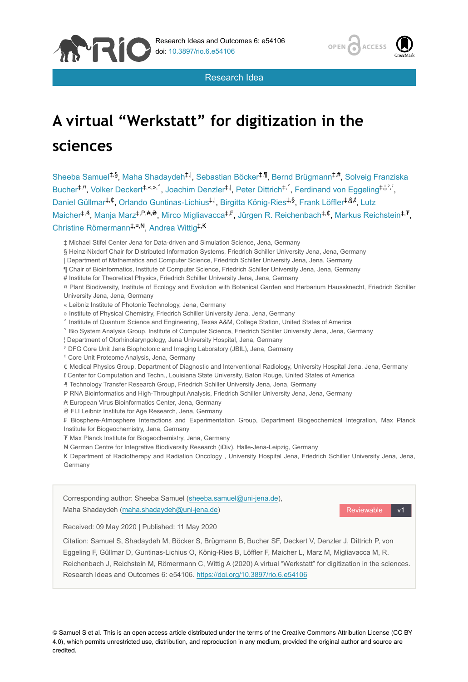



Research Idea

# **A virtual "Werkstatt" for digitization in the sciences**

Sheeba Samuel<sup>‡,§</sup>, Maha Shadaydeh<sup>‡, I</sup>, Sebastian Böcker<sup>‡,¶</sup>, Bernd Brügmann<sup>‡,#</sup>, Solveig Franziska Bucher<sup>‡,¤</sup>, Volker Deckert<sup>‡,«,»,^</sup>, Joachim Denzler<sup>‡,|</sup>, Peter Dittrich<sup>‡,°</sup>, Ferdinand von Eggeling<sup>‡,¦,°</sup>, Daniel Güllmar<sup>t,¢</sup>, Orlando Guntinas-Lichius<sup>‡, |</sup>, Birgitta König-Ries<sup>‡,§</sup>, Frank Löffler<sup>‡,§,t</sup>, Lutz Maicher‡,<sup>ҙ</sup>, Manja Marz‡,<sup>p</sup>,₳,₴, Mirco Migliavacca‡,₣, Jürgen R. Reichenbach‡,⊄, Markus Reichstein‡,₮, Christine Römermann<sup>‡,¤,₦</sup>, Andrea Wittig<sup>‡,₭</sup>

§ Heinz-Nixdorf Chair for Distributed Information Systems, Friedrich Schiller University Jena, Jena, Germany

- ¶ Chair of Bioinformatics, Institute of Computer Science, Friedrich Schiller University Jena, Jena, Germany
- # Institute for Theoretical Physics, Friedrich Schiller University Jena, Jena, Germany
- ¤ Plant Biodiversity, Institute of Ecology and Evolution with Botanical Garden and Herbarium Haussknecht, Friedrich Schiller University Jena, Jena, Germany
- « Leibniz Institute of Photonic Technology, Jena, Germany
- » Institute of Physical Chemistry, Friedrich Schiller University Jena, Jena, Germany
- ˄ Institute of Quantum Science and Engineering, Texas A&M, College Station, United States of America
- ˅ Bio System Analysis Group, Institute of Computer Science, Friedrich Schiller University Jena, Jena, Germany
- ¦ Department of Otorhinolaryngology, Jena University Hospital, Jena, Germany
- ˀ DFG Core Unit Jena Biophotonic and Imaging Laboratory (JBIL), Jena, Germany
- <sup>s</sup> Core Unit Proteome Analysis, Jena, Germany
- ₵ Medical Physics Group, Department of Diagnostic and Interventional Radiology, University Hospital Jena, Jena, Germany
- ℓ Center for Computation and Techn., Louisiana State University, Baton Rouge, United States of America
- ₰ Technology Transfer Research Group, Friedrich Schiller University Jena, Jena, Germany
- P RNA Bioinformatics and High-Throughput Analysis, Friedrich Schiller University Jena, Jena, Germany
- ₳ European Virus Bioinformatics Center, Jena, Germany
- ₴ FLI Leibniz Institute for Age Research, Jena, Germany

₣ Biosphere-Atmosphere Interactions and Experimentation Group, Department Biogeochemical Integration, Max Planck Institute for Biogeochemistry, Jena, Germany

₮ Max Planck Institute for Biogeochemistry, Jena, Germany

₦ German Centre for Integrative Biodiversity Research (iDiv), Halle-Jena-Leipzig, Germany

₭ Department of Radiotherapy and Radiation Oncology , University Hospital Jena, Friedrich Schiller University Jena, Jena, Germany



© Samuel S et al. This is an open access article distributed under the terms of the Creative Commons Attribution License (CC BY 4.0), which permits unrestricted use, distribution, and reproduction in any medium, provided the original author and source are credited.

<sup>‡</sup> Michael Stifel Center Jena for Data-driven and Simulation Science, Jena, Germany

<sup>|</sup> Department of Mathematics and Computer Science, Friedrich Schiller University Jena, Jena, Germany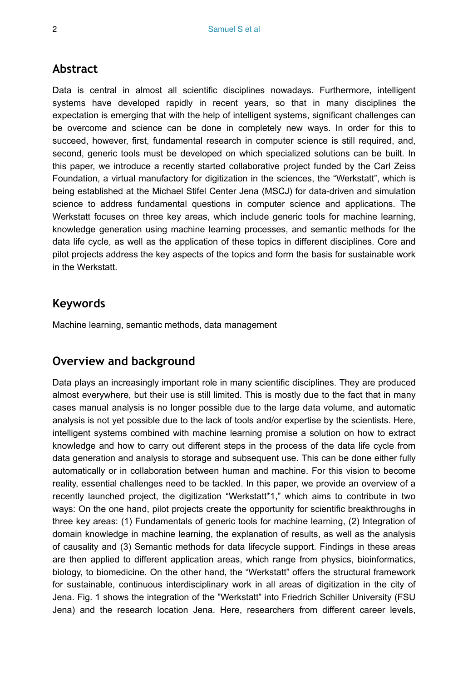## **Abstract**

Data is central in almost all scientific disciplines nowadays. Furthermore, intelligent systems have developed rapidly in recent years, so that in many disciplines the expectation is emerging that with the help of intelligent systems, significant challenges can be overcome and science can be done in completely new ways. In order for this to succeed, however, first, fundamental research in computer science is still required, and, second, generic tools must be developed on which specialized solutions can be built. In this paper, we introduce a recently started collaborative project funded by the Carl Zeiss Foundation, a virtual manufactory for digitization in the sciences, the "Werkstatt", which is being established at the Michael Stifel Center Jena (MSCJ) for data-driven and simulation science to address fundamental questions in computer science and applications. The Werkstatt focuses on three key areas, which include generic tools for machine learning, knowledge generation using machine learning processes, and semantic methods for the data life cycle, as well as the application of these topics in different disciplines. Core and pilot projects address the key aspects of the topics and form the basis for sustainable work in the Werkstatt.

## **Keywords**

Machine learning, semantic methods, data management

## **Overview and background**

Data plays an increasingly important role in many scientific disciplines. They are produced almost everywhere, but their use is still limited. This is mostly due to the fact that in many cases manual analysis is no longer possible due to the large data volume, and automatic analysis is not yet possible due to the lack of tools and/or expertise by the scientists. Here, intelligent systems combined with machine learning promise a solution on how to extract knowledge and how to carry out different steps in the process of the data life cycle from data generation and analysis to storage and subsequent use. This can be done either fully automatically or in collaboration between human and machine. For this vision to become reality, essential challenges need to be tackled. In this paper, we provide an overview of a recently launched project, the digitization "Werkstatt\*1," which aims to contribute in two ways: On the one hand, pilot projects create the opportunity for scientific breakthroughs in three key areas: (1) Fundamentals of generic tools for machine learning, (2) Integration of domain knowledge in machine learning, the explanation of results, as well as the analysis of causality and (3) Semantic methods for data lifecycle support. Findings in these areas are then applied to different application areas, which range from physics, bioinformatics, biology, to biomedicine. On the other hand, the "Werkstatt" offers the structural framework for sustainable, continuous interdisciplinary work in all areas of digitization in the city of Jena. Fig. 1 shows the integration of the "Werkstatt" into Friedrich Schiller University (FSU Jena) and the research location Jena. Here, researchers from different career levels,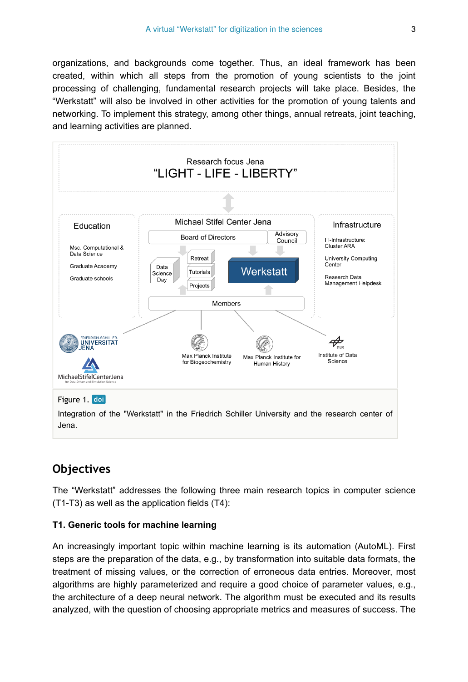organizations, and backgrounds come together. Thus, an ideal framework has been created, within which all steps from the promotion of young scientists to the joint processing of challenging, fundamental research projects will take place. Besides, the "Werkstatt" will also be involved in other activities for the promotion of young talents and networking. To implement this strategy, among other things, annual retreats, joint teaching, and learning activities are planned.



## **Objectives**

The "Werkstatt" addresses the following three main research topics in computer science (T1-T3) as well as the application fields (T4):

#### **T1. Generic tools for machine learning**

An increasingly important topic within machine learning is its automation (AutoML). First steps are the preparation of the data, e.g., by transformation into suitable data formats, the treatment of missing values, or the correction of erroneous data entries. Moreover, most algorithms are highly parameterized and require a good choice of parameter values, e.g., the architecture of a deep neural network. The algorithm must be executed and its results analyzed, with the question of choosing appropriate metrics and measures of success. The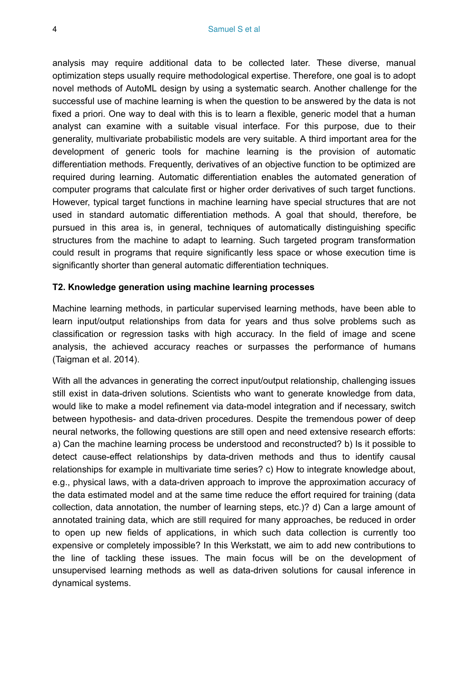analysis may require additional data to be collected later. These diverse, manual optimization steps usually require methodological expertise. Therefore, one goal is to adopt novel methods of AutoML design by using a systematic search. Another challenge for the successful use of machine learning is when the question to be answered by the data is not fixed a priori. One way to deal with this is to learn a flexible, generic model that a human analyst can examine with a suitable visual interface. For this purpose, due to their generality, multivariate probabilistic models are very suitable. A third important area for the development of generic tools for machine learning is the provision of automatic differentiation methods. Frequently, derivatives of an objective function to be optimized are required during learning. Automatic differentiation enables the automated generation of computer programs that calculate first or higher order derivatives of such target functions. However, typical target functions in machine learning have special structures that are not used in standard automatic differentiation methods. A goal that should, therefore, be pursued in this area is, in general, techniques of automatically distinguishing specific structures from the machine to adapt to learning. Such targeted program transformation could result in programs that require significantly less space or whose execution time is significantly shorter than general automatic differentiation techniques.

#### **T2. Knowledge generation using machine learning processes**

Machine learning methods, in particular supervised learning methods, have been able to learn input/output relationships from data for years and thus solve problems such as classification or regression tasks with high accuracy. In the field of image and scene analysis, the achieved accuracy reaches or surpasses the performance of humans (Taigman et al. 2014).

With all the advances in generating the correct input/output relationship, challenging issues still exist in data-driven solutions. Scientists who want to generate knowledge from data, would like to make a model refinement via data-model integration and if necessary, switch between hypothesis- and data-driven procedures. Despite the tremendous power of deep neural networks, the following questions are still open and need extensive research efforts: a) Can the machine learning process be understood and reconstructed? b) Is it possible to detect cause-effect relationships by data-driven methods and thus to identify causal relationships for example in multivariate time series? c) How to integrate knowledge about, e.g., physical laws, with a data-driven approach to improve the approximation accuracy of the data estimated model and at the same time reduce the effort required for training (data collection, data annotation, the number of learning steps, etc.)? d) Can a large amount of annotated training data, which are still required for many approaches, be reduced in order to open up new fields of applications, in which such data collection is currently too expensive or completely impossible? In this Werkstatt, we aim to add new contributions to the line of tackling these issues. The main focus will be on the development of unsupervised learning methods as well as data-driven solutions for causal inference in dynamical systems.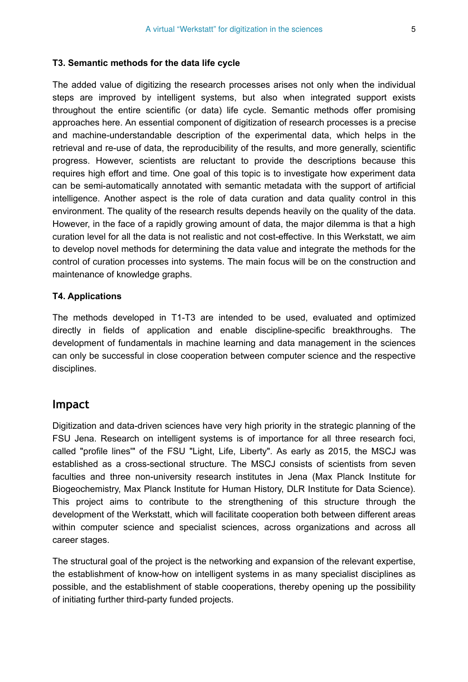#### **T3. Semantic methods for the data life cycle**

The added value of digitizing the research processes arises not only when the individual steps are improved by intelligent systems, but also when integrated support exists throughout the entire scientific (or data) life cycle. Semantic methods offer promising approaches here. An essential component of digitization of research processes is a precise and machine-understandable description of the experimental data, which helps in the retrieval and re-use of data, the reproducibility of the results, and more generally, scientific progress. However, scientists are reluctant to provide the descriptions because this requires high effort and time. One goal of this topic is to investigate how experiment data can be semi-automatically annotated with semantic metadata with the support of artificial intelligence. Another aspect is the role of data curation and data quality control in this environment. The quality of the research results depends heavily on the quality of the data. However, in the face of a rapidly growing amount of data, the major dilemma is that a high curation level for all the data is not realistic and not cost-effective. In this Werkstatt, we aim to develop novel methods for determining the data value and integrate the methods for the control of curation processes into systems. The main focus will be on the construction and maintenance of knowledge graphs.

#### **T4. Applications**

The methods developed in T1-T3 are intended to be used, evaluated and optimized directly in fields of application and enable discipline-specific breakthroughs. The development of fundamentals in machine learning and data management in the sciences can only be successful in close cooperation between computer science and the respective disciplines.

#### **Impact**

Digitization and data-driven sciences have very high priority in the strategic planning of the FSU Jena. Research on intelligent systems is of importance for all three research foci, called "profile lines'" of the FSU "Light, Life, Liberty". As early as 2015, the MSCJ was established as a cross-sectional structure. The MSCJ consists of scientists from seven faculties and three non-university research institutes in Jena (Max Planck Institute for Biogeochemistry, Max Planck Institute for Human History, DLR Institute for Data Science). This project aims to contribute to the strengthening of this structure through the development of the Werkstatt, which will facilitate cooperation both between different areas within computer science and specialist sciences, across organizations and across all career stages.

The structural goal of the project is the networking and expansion of the relevant expertise, the establishment of know-how on intelligent systems in as many specialist disciplines as possible, and the establishment of stable cooperations, thereby opening up the possibility of initiating further third-party funded projects.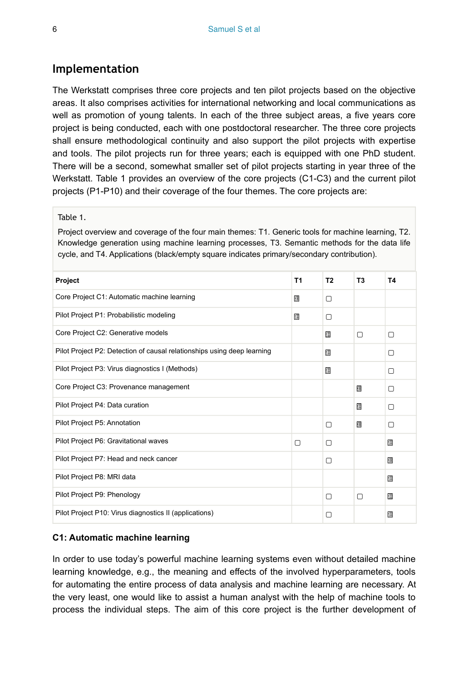### **Implementation**

The Werkstatt comprises three core projects and ten pilot projects based on the objective areas. It also comprises activities for international networking and local communications as well as promotion of young talents. In each of the three subject areas, a five years core project is being conducted, each with one postdoctoral researcher. The three core projects shall ensure methodological continuity and also support the pilot projects with expertise and tools. The pilot projects run for three years; each is equipped with one PhD student. There will be a second, somewhat smaller set of pilot projects starting in year three of the Werkstatt. Table 1 provides an overview of the core projects (C1-C3) and the current pilot projects (P1-P10) and their coverage of the four themes. The core projects are:

#### Table 1.

Project overview and coverage of the four main themes: T1. Generic tools for machine learning, T2. Knowledge generation using machine learning processes, T3. Semantic methods for the data life cycle, and T4. Applications (black/empty square indicates primary/secondary contribution).

| Project                                                                 | <b>T1</b> | T <sub>2</sub> | T <sub>3</sub> | T4             |
|-------------------------------------------------------------------------|-----------|----------------|----------------|----------------|
| Core Project C1: Automatic machine learning                             | 猬         | ∩              |                |                |
| Pilot Project P1: Probabilistic modeling                                | 謂         | ∩              |                |                |
| Core Project C2: Generative models                                      |           | 邵              | Π              | 0              |
| Pilot Project P2: Detection of causal relationships using deep learning |           | 邵              |                | ∩              |
| Pilot Project P3: Virus diagnostics I (Methods)                         |           | 羂              |                | 0              |
| Core Project C3: Provenance management                                  |           |                | $^{28}_{18}$   | 0              |
| Pilot Project P4: Data curation                                         |           |                | $^{28}_{18}$   | ∩              |
| Pilot Project P5: Annotation                                            |           | ∩              | 猬              | 0              |
| Pilot Project P6: Gravitational waves                                   | ∩         | ∩              |                | 歰              |
| Pilot Project P7: Head and neck cancer                                  |           | ∩              |                | 猬              |
| Pilot Project P8: MRI data                                              |           |                |                | 猬              |
| Pilot Project P9: Phenology                                             |           | ∩              | Π              | $\frac{2}{18}$ |
| Pilot Project P10: Virus diagnostics II (applications)                  |           | П              |                | 2              |

#### **C1: Automatic machine learning**

In order to use today's powerful machine learning systems even without detailed machine learning knowledge, e.g., the meaning and effects of the involved hyperparameters, tools for automating the entire process of data analysis and machine learning are necessary. At the very least, one would like to assist a human analyst with the help of machine tools to process the individual steps. The aim of this core project is the further development of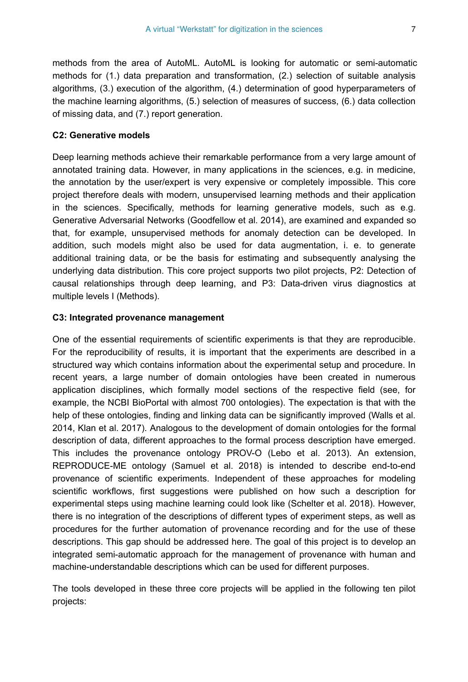methods from the area of AutoML. AutoML is looking for automatic or semi-automatic methods for (1.) data preparation and transformation, (2.) selection of suitable analysis algorithms, (3.) execution of the algorithm, (4.) determination of good hyperparameters of the machine learning algorithms, (5.) selection of measures of success, (6.) data collection of missing data, and (7.) report generation.

#### **C2: Generative models**

Deep learning methods achieve their remarkable performance from a very large amount of annotated training data. However, in many applications in the sciences, e.g. in medicine, the annotation by the user/expert is very expensive or completely impossible. This core project therefore deals with modern, unsupervised learning methods and their application in the sciences. Specifically, methods for learning generative models, such as e.g. Generative Adversarial Networks (Goodfellow et al. 2014), are examined and expanded so that, for example, unsupervised methods for anomaly detection can be developed. In addition, such models might also be used for data augmentation, i. e. to generate additional training data, or be the basis for estimating and subsequently analysing the underlying data distribution. This core project supports two pilot projects, P2: Detection of causal relationships through deep learning, and P3: Data-driven virus diagnostics at multiple levels I (Methods).

#### **C3: Integrated provenance management**

One of the essential requirements of scientific experiments is that they are reproducible. For the reproducibility of results, it is important that the experiments are described in a structured way which contains information about the experimental setup and procedure. In recent years, a large number of domain ontologies have been created in numerous application disciplines, which formally model sections of the respective field (see, for example, the NCBI BioPortal with almost 700 ontologies). The expectation is that with the help of these ontologies, finding and linking data can be significantly improved (Walls et al. 2014, Klan et al. 2017). Analogous to the development of domain ontologies for the formal description of data, different approaches to the formal process description have emerged. This includes the provenance ontology PROV-O (Lebo et al. 2013). An extension, REPRODUCE-ME ontology (Samuel et al. 2018) is intended to describe end-to-end provenance of scientific experiments. Independent of these approaches for modeling scientific workflows, first suggestions were published on how such a description for experimental steps using machine learning could look like (Schelter et al. 2018). However, there is no integration of the descriptions of different types of experiment steps, as well as procedures for the further automation of provenance recording and for the use of these descriptions. This gap should be addressed here. The goal of this project is to develop an integrated semi-automatic approach for the management of provenance with human and machine-understandable descriptions which can be used for different purposes.

The tools developed in these three core projects will be applied in the following ten pilot projects: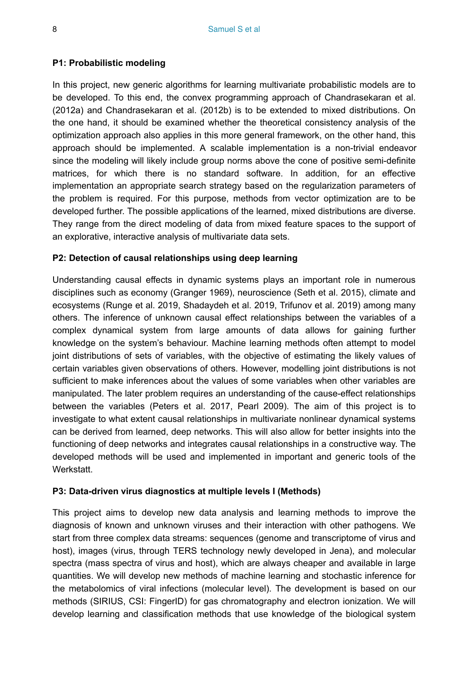#### **P1: Probabilistic modeling**

In this project, new generic algorithms for learning multivariate probabilistic models are to be developed. To this end, the convex programming approach of Chandrasekaran et al. (2012a) and Chandrasekaran et al. (2012b) is to be extended to mixed distributions. On the one hand, it should be examined whether the theoretical consistency analysis of the optimization approach also applies in this more general framework, on the other hand, this approach should be implemented. A scalable implementation is a non-trivial endeavor since the modeling will likely include group norms above the cone of positive semi-definite matrices, for which there is no standard software. In addition, for an effective implementation an appropriate search strategy based on the regularization parameters of the problem is required. For this purpose, methods from vector optimization are to be developed further. The possible applications of the learned, mixed distributions are diverse. They range from the direct modeling of data from mixed feature spaces to the support of an explorative, interactive analysis of multivariate data sets.

#### **P2: Detection of causal relationships using deep learning**

Understanding causal effects in dynamic systems plays an important role in numerous disciplines such as economy (Granger 1969), neuroscience (Seth et al. 2015), climate and ecosystems (Runge et al. 2019, Shadaydeh et al. 2019, Trifunov et al. 2019) among many others. The inference of unknown causal effect relationships between the variables of a complex dynamical system from large amounts of data allows for gaining further knowledge on the system's behaviour. Machine learning methods often attempt to model joint distributions of sets of variables, with the objective of estimating the likely values of certain variables given observations of others. However, modelling joint distributions is not sufficient to make inferences about the values of some variables when other variables are manipulated. The later problem requires an understanding of the cause-effect relationships between the variables (Peters et al. 2017, Pearl 2009). The aim of this project is to investigate to what extent causal relationships in multivariate nonlinear dynamical systems can be derived from learned, deep networks. This will also allow for better insights into the functioning of deep networks and integrates causal relationships in a constructive way. The developed methods will be used and implemented in important and generic tools of the **Werkstatt** 

#### **P3: Data-driven virus diagnostics at multiple levels I (Methods)**

This project aims to develop new data analysis and learning methods to improve the diagnosis of known and unknown viruses and their interaction with other pathogens. We start from three complex data streams: sequences (genome and transcriptome of virus and host), images (virus, through TERS technology newly developed in Jena), and molecular spectra (mass spectra of virus and host), which are always cheaper and available in large quantities. We will develop new methods of machine learning and stochastic inference for the metabolomics of viral infections (molecular level). The development is based on our methods (SIRIUS, CSI: FingerID) for gas chromatography and electron ionization. We will develop learning and classification methods that use knowledge of the biological system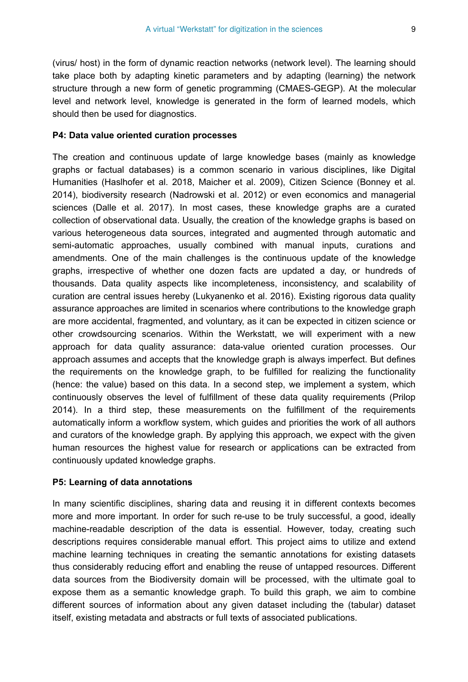(virus/ host) in the form of dynamic reaction networks (network level). The learning should take place both by adapting kinetic parameters and by adapting (learning) the network structure through a new form of genetic programming (CMAES-GEGP). At the molecular level and network level, knowledge is generated in the form of learned models, which should then be used for diagnostics.

#### **P4: Data value oriented curation processes**

The creation and continuous update of large knowledge bases (mainly as knowledge graphs or factual databases) is a common scenario in various disciplines, like Digital Humanities (Haslhofer et al. 2018, Maicher et al. 2009), Citizen Science (Bonney et al. 2014), biodiversity research (Nadrowski et al. 2012) or even economics and managerial sciences (Dalle et al. 2017). In most cases, these knowledge graphs are a curated collection of observational data. Usually, the creation of the knowledge graphs is based on various heterogeneous data sources, integrated and augmented through automatic and semi-automatic approaches, usually combined with manual inputs, curations and amendments. One of the main challenges is the continuous update of the knowledge graphs, irrespective of whether one dozen facts are updated a day, or hundreds of thousands. Data quality aspects like incompleteness, inconsistency, and scalability of curation are central issues hereby (Lukyanenko et al. 2016). Existing rigorous data quality assurance approaches are limited in scenarios where contributions to the knowledge graph are more accidental, fragmented, and voluntary, as it can be expected in citizen science or other crowdsourcing scenarios. Within the Werkstatt, we will experiment with a new approach for data quality assurance: data-value oriented curation processes. Our approach assumes and accepts that the knowledge graph is always imperfect. But defines the requirements on the knowledge graph, to be fulfilled for realizing the functionality (hence: the value) based on this data. In a second step, we implement a system, which continuously observes the level of fulfillment of these data quality requirements (Prilop 2014). In a third step, these measurements on the fulfillment of the requirements automatically inform a workflow system, which guides and priorities the work of all authors and curators of the knowledge graph. By applying this approach, we expect with the given human resources the highest value for research or applications can be extracted from continuously updated knowledge graphs.

#### **P5: Learning of data annotations**

In many scientific disciplines, sharing data and reusing it in different contexts becomes more and more important. In order for such re-use to be truly successful, a good, ideally machine-readable description of the data is essential. However, today, creating such descriptions requires considerable manual effort. This project aims to utilize and extend machine learning techniques in creating the semantic annotations for existing datasets thus considerably reducing effort and enabling the reuse of untapped resources. Different data sources from the Biodiversity domain will be processed, with the ultimate goal to expose them as a semantic knowledge graph. To build this graph, we aim to combine different sources of information about any given dataset including the (tabular) dataset itself, existing metadata and abstracts or full texts of associated publications.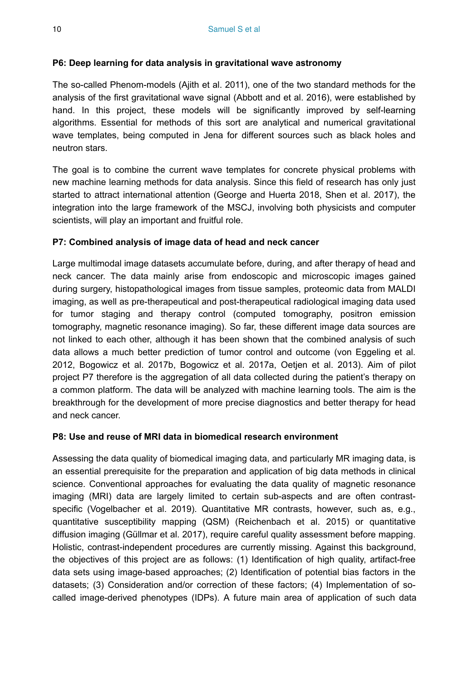#### **P6: Deep learning for data analysis in gravitational wave astronomy**

The so-called Phenom-models (Ajith et al. 2011), one of the two standard methods for the analysis of the first gravitational wave signal (Abbott and et al. 2016), were established by hand. In this project, these models will be significantly improved by self-learning algorithms. Essential for methods of this sort are analytical and numerical gravitational wave templates, being computed in Jena for different sources such as black holes and neutron stars.

The goal is to combine the current wave templates for concrete physical problems with new machine learning methods for data analysis. Since this field of research has only just started to attract international attention (George and Huerta 2018, Shen et al. 2017), the integration into the large framework of the MSCJ, involving both physicists and computer scientists, will play an important and fruitful role.

#### **P7: Combined analysis of image data of head and neck cancer**

Large multimodal image datasets accumulate before, during, and after therapy of head and neck cancer. The data mainly arise from endoscopic and microscopic images gained during surgery, histopathological images from tissue samples, proteomic data from MALDI imaging, as well as pre-therapeutical and post-therapeutical radiological imaging data used for tumor staging and therapy control (computed tomography, positron emission tomography, magnetic resonance imaging). So far, these different image data sources are not linked to each other, although it has been shown that the combined analysis of such data allows a much better prediction of tumor control and outcome (von Eggeling et al. 2012, Bogowicz et al. 2017b, Bogowicz et al. 2017a, Oetjen et al. 2013). Aim of pilot project P7 therefore is the aggregation of all data collected during the patient's therapy on a common platform. The data will be analyzed with machine learning tools. The aim is the breakthrough for the development of more precise diagnostics and better therapy for head and neck cancer.

#### **P8: Use and reuse of MRI data in biomedical research environment**

Assessing the data quality of biomedical imaging data, and particularly MR imaging data, is an essential prerequisite for the preparation and application of big data methods in clinical science. Conventional approaches for evaluating the data quality of magnetic resonance imaging (MRI) data are largely limited to certain sub-aspects and are often contrastspecific (Vogelbacher et al. 2019). Quantitative MR contrasts, however, such as, e.g., quantitative susceptibility mapping (QSM) (Reichenbach et al. 2015) or quantitative diffusion imaging (Güllmar et al. 2017), require careful quality assessment before mapping. Holistic, contrast-independent procedures are currently missing. Against this background, the objectives of this project are as follows: (1) Identification of high quality, artifact-free data sets using image-based approaches; (2) Identification of potential bias factors in the datasets; (3) Consideration and/or correction of these factors; (4) Implementation of socalled image-derived phenotypes (IDPs). A future main area of application of such data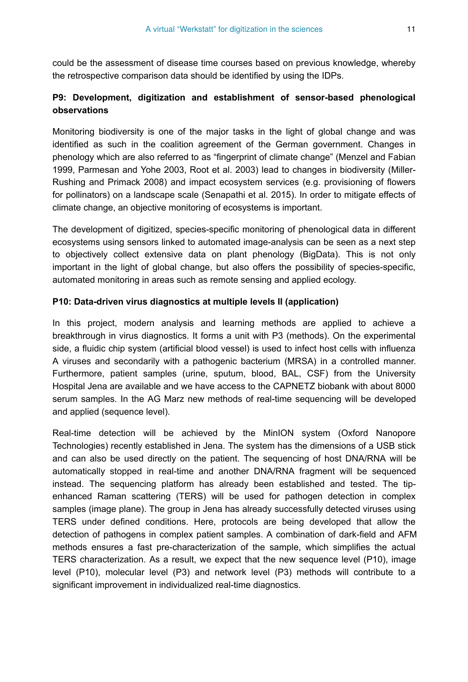could be the assessment of disease time courses based on previous knowledge, whereby the retrospective comparison data should be identified by using the IDPs.

## **P9: Development, digitization and establishment of sensor-based phenological observations**

Monitoring biodiversity is one of the major tasks in the light of global change and was identified as such in the coalition agreement of the German government. Changes in phenology which are also referred to as "fingerprint of climate change" (Menzel and Fabian 1999, Parmesan and Yohe 2003, Root et al. 2003) lead to changes in biodiversity (Miller-Rushing and Primack 2008) and impact ecosystem services (e.g. provisioning of flowers for pollinators) on a landscape scale (Senapathi et al. 2015). In order to mitigate effects of climate change, an objective monitoring of ecosystems is important.

The development of digitized, species-specific monitoring of phenological data in different ecosystems using sensors linked to automated image-analysis can be seen as a next step to objectively collect extensive data on plant phenology (BigData). This is not only important in the light of global change, but also offers the possibility of species-specific, automated monitoring in areas such as remote sensing and applied ecology.

#### **P10: Data-driven virus diagnostics at multiple levels II (application)**

In this project, modern analysis and learning methods are applied to achieve a breakthrough in virus diagnostics. It forms a unit with P3 (methods). On the experimental side, a fluidic chip system (artificial blood vessel) is used to infect host cells with influenza A viruses and secondarily with a pathogenic bacterium (MRSA) in a controlled manner. Furthermore, patient samples (urine, sputum, blood, BAL, CSF) from the University Hospital Jena are available and we have access to the CAPNETZ biobank with about 8000 serum samples. In the AG Marz new methods of real-time sequencing will be developed and applied (sequence level).

Real-time detection will be achieved by the MinION system (Oxford Nanopore Technologies) recently established in Jena. The system has the dimensions of a USB stick and can also be used directly on the patient. The sequencing of host DNA/RNA will be automatically stopped in real-time and another DNA/RNA fragment will be sequenced instead. The sequencing platform has already been established and tested. The tipenhanced Raman scattering (TERS) will be used for pathogen detection in complex samples (image plane). The group in Jena has already successfully detected viruses using TERS under defined conditions. Here, protocols are being developed that allow the detection of pathogens in complex patient samples. A combination of dark-field and AFM methods ensures a fast pre-characterization of the sample, which simplifies the actual TERS characterization. As a result, we expect that the new sequence level (P10), image level (P10), molecular level (P3) and network level (P3) methods will contribute to a significant improvement in individualized real-time diagnostics.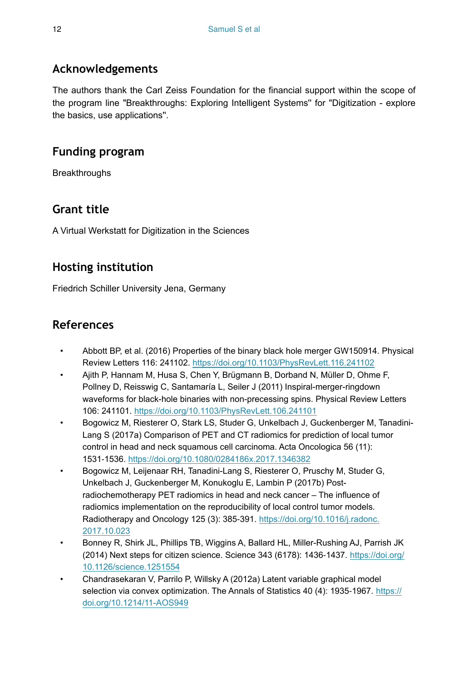## **Acknowledgements**

The authors thank the Carl Zeiss Foundation for the financial support within the scope of the program line "Breakthroughs: Exploring Intelligent Systems'' for "Digitization - explore the basics, use applications''.

## **Funding program**

**Breakthroughs** 

# **Grant title**

A Virtual Werkstatt for Digitization in the Sciences

# **Hosting institution**

Friedrich Schiller University Jena, Germany

# **References**

- Abbott BP, et al. (2016) Properties of the binary black hole merger GW150914. Physical Review Letters 116: 241102.<https://doi.org/10.1103/PhysRevLett.116.241102>
- Ajith P, Hannam M, Husa S, Chen Y, Brügmann B, Dorband N, Müller D, Ohme F, Pollney D, Reisswig C, Santamaría L, Seiler J (2011) Inspiral-merger-ringdown waveforms for black-hole binaries with non-precessing spins. Physical Review Letters 106: 241101.<https://doi.org/10.1103/PhysRevLett.106.241101>
- Bogowicz M, Riesterer O, Stark LS, Studer G, Unkelbach J, Guckenberger M, Tanadini-Lang S (2017a) Comparison of PET and CT radiomics for prediction of local tumor control in head and neck squamous cell carcinoma. Acta Oncologica 56 (11): 1531‑1536.<https://doi.org/10.1080/0284186x.2017.1346382>
- Bogowicz M, Leijenaar RH, Tanadini-Lang S, Riesterer O, Pruschy M, Studer G, Unkelbach J, Guckenberger M, Konukoglu E, Lambin P (2017b) Postradiochemotherapy PET radiomics in head and neck cancer – The influence of radiomics implementation on the reproducibility of local control tumor models. Radiotherapy and Oncology 125 (3): 385-391. [https://doi.org/10.1016/j.radonc.](https://doi.org/10.1016/j.radonc.2017.10.023) [2017.10.023](https://doi.org/10.1016/j.radonc.2017.10.023)
- Bonney R, Shirk JL, Phillips TB, Wiggins A, Ballard HL, Miller-Rushing AJ, Parrish JK (2014) Next steps for citizen science. Science 343 (6178): 1436‑1437. [https://doi.org/](https://doi.org/10.1126/science.1251554) [10.1126/science.1251554](https://doi.org/10.1126/science.1251554)
- Chandrasekaran V, Parrilo P, Willsky A (2012a) Latent variable graphical model selection via convex optimization. The Annals of Statistics 40 (4): 1935-1967. [https://](https://doi.org/10.1214/11-AOS949) [doi.org/10.1214/11-AOS949](https://doi.org/10.1214/11-AOS949)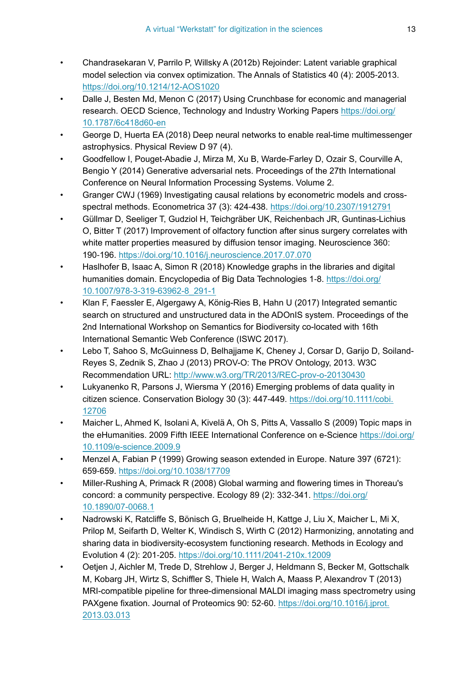- Chandrasekaran V, Parrilo P, Willsky A (2012b) Rejoinder: Latent variable graphical model selection via convex optimization. The Annals of Statistics 40 (4): 2005‑2013. <https://doi.org/10.1214/12-AOS1020>
- Dalle J, Besten Md, Menon C (2017) Using Crunchbase for economic and managerial research. OECD Science, Technology and Industry Working Papers [https://doi.org/](https://doi.org/10.1787/6c418d60-en) [10.1787/6c418d60-en](https://doi.org/10.1787/6c418d60-en)
- George D, Huerta EA (2018) Deep neural networks to enable real-time multimessenger astrophysics. Physical Review D 97 (4).
- Goodfellow I, Pouget-Abadie J, Mirza M, Xu B, Warde-Farley D, Ozair S, Courville A, Bengio Y (2014) Generative adversarial nets. Proceedings of the 27th International Conference on Neural Information Processing Systems. Volume 2.
- Granger CWJ (1969) Investigating causal relations by econometric models and crossspectral methods. Econometrica 37 (3): 424‑438.<https://doi.org/10.2307/1912791>
- Güllmar D, Seeliger T, Gudziol H, Teichgräber UK, Reichenbach JR, Guntinas-Lichius O, Bitter T (2017) Improvement of olfactory function after sinus surgery correlates with white matter properties measured by diffusion tensor imaging. Neuroscience 360: 190‑196. <https://doi.org/10.1016/j.neuroscience.2017.07.070>
- Haslhofer B, Isaac A, Simon R (2018) Knowledge graphs in the libraries and digital humanities domain. Encyclopedia of Big Data Technologies 1-8. [https://doi.org/](https://doi.org/10.1007/978-3-319-63962-8_291-1) [10.1007/978-3-319-63962-8\\_291-1](https://doi.org/10.1007/978-3-319-63962-8_291-1)
- Klan F, Faessler E, Algergawy A, König-Ries B, Hahn U (2017) Integrated semantic search on structured and unstructured data in the ADOnIS system. Proceedings of the 2nd International Workshop on Semantics for Biodiversity co-located with 16th International Semantic Web Conference (ISWC 2017).
- Lebo T, Sahoo S, McGuinness D, Belhajjame K, Cheney J, Corsar D, Garijo D, Soiland-Reyes S, Zednik S, Zhao J (2013) PROV-O: The PROV Ontology, 2013. W3C Recommendation URL: <http://www.w3.org/TR/2013/REC-prov-o-20130430>
- Lukyanenko R, Parsons J, Wiersma Y (2016) Emerging problems of data quality in citizen science. Conservation Biology 30 (3): 447‑449. [https://doi.org/10.1111/cobi.](https://doi.org/10.1111/cobi.12706) [12706](https://doi.org/10.1111/cobi.12706)
- Maicher L, Ahmed K, Isolani A, Kivelä A, Oh S, Pitts A, Vassallo S (2009) Topic maps in the eHumanities. 2009 Fifth IEEE International Conference on e-Science [https://doi.org/](https://doi.org/10.1109/e-science.2009.9) [10.1109/e-science.2009.9](https://doi.org/10.1109/e-science.2009.9)
- Menzel A, Fabian P (1999) Growing season extended in Europe. Nature 397 (6721): 659‑659. <https://doi.org/10.1038/17709>
- Miller-Rushing A, Primack R (2008) Global warming and flowering times in Thoreau's concord: a community perspective. Ecology 89 (2): 332‑341. [https://doi.org/](https://doi.org/10.1890/07-0068.1) [10.1890/07-0068.1](https://doi.org/10.1890/07-0068.1)
- Nadrowski K, Ratcliffe S, Bönisch G, Bruelheide H, Kattge J, Liu X, Maicher L, Mi X, Prilop M, Seifarth D, Welter K, Windisch S, Wirth C (2012) Harmonizing, annotating and sharing data in biodiversity-ecosystem functioning research. Methods in Ecology and Evolution 4 (2): 201‑205.<https://doi.org/10.1111/2041-210x.12009>
- Oetjen J, Aichler M, Trede D, Strehlow J, Berger J, Heldmann S, Becker M, Gottschalk M, Kobarg JH, Wirtz S, Schiffler S, Thiele H, Walch A, Maass P, Alexandrov T (2013) MRI-compatible pipeline for three-dimensional MALDI imaging mass spectrometry using PAXgene fixation. Journal of Proteomics 90: 52‑60. [https://doi.org/10.1016/j.jprot.](https://doi.org/10.1016/j.jprot.2013.03.013) [2013.03.013](https://doi.org/10.1016/j.jprot.2013.03.013)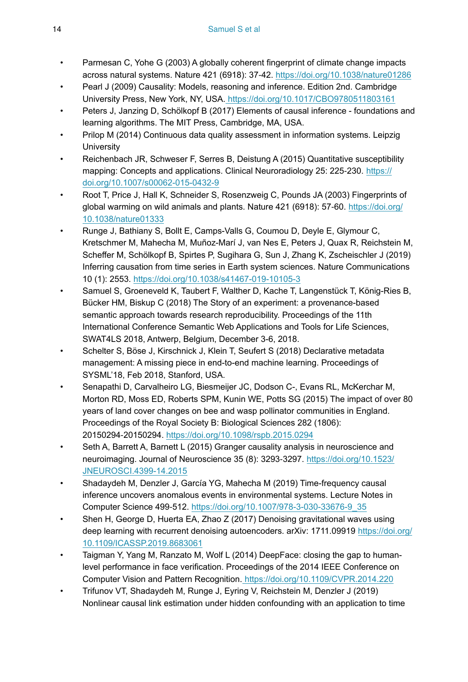- Parmesan C, Yohe G (2003) A globally coherent fingerprint of climate change impacts across natural systems. Nature 421 (6918): 37‑42.<https://doi.org/10.1038/nature01286>
- Pearl J (2009) Causality: Models, reasoning and inference. Edition 2nd. Cambridge University Press, New York, NY, USA[. https://doi.org/10.1017/CBO9780511803161](https://doi.org/10.1017/CBO9780511803161)
- Peters J, Janzing D, Schölkopf B (2017) Elements of causal inference foundations and learning algorithms. The MIT Press, Cambridge, MA, USA.
- Prilop M (2014) Continuous data quality assessment in information systems. Leipzig **University**
- Reichenbach JR, Schweser F, Serres B, Deistung A (2015) Quantitative susceptibility mapping: Concepts and applications. Clinical Neuroradiology 25: 225-230. [https://](https://doi.org/10.1007/s00062-015-0432-9) [doi.org/10.1007/s00062-015-0432-9](https://doi.org/10.1007/s00062-015-0432-9)
- Root T, Price J, Hall K, Schneider S, Rosenzweig C, Pounds JA (2003) Fingerprints of global warming on wild animals and plants. Nature 421 (6918): 57-60. [https://doi.org/](https://doi.org/10.1038/nature01333) [10.1038/nature01333](https://doi.org/10.1038/nature01333)
- Runge J, Bathiany S, Bollt E, Camps-Valls G, Coumou D, Deyle E, Glymour C, Kretschmer M, Mahecha M, Muñoz-Marí J, van Nes E, Peters J, Quax R, Reichstein M, Scheffer M, Schölkopf B, Spirtes P, Sugihara G, Sun J, Zhang K, Zscheischler J (2019) Inferring causation from time series in Earth system sciences. Nature Communications 10 (1): 2553.<https://doi.org/10.1038/s41467-019-10105-3>
- Samuel S, Groeneveld K, Taubert F, Walther D, Kache T, Langenstück T, König-Ries B, Bücker HM, Biskup C (2018) The Story of an experiment: a provenance-based semantic approach towards research reproducibility. Proceedings of the 11th International Conference Semantic Web Applications and Tools for Life Sciences, SWAT4LS 2018, Antwerp, Belgium, December 3-6, 2018.
- Schelter S, Böse J, Kirschnick J, Klein T, Seufert S (2018) Declarative metadata management: A missing piece in end-to-end machine learning. Proceedings of SYSML'18, Feb 2018, Stanford, USA.
- Senapathi D, Carvalheiro LG, Biesmeijer JC, Dodson C-, Evans RL, McKerchar M, Morton RD, Moss ED, Roberts SPM, Kunin WE, Potts SG (2015) The impact of over 80 years of land cover changes on bee and wasp pollinator communities in England. Proceedings of the Royal Society B: Biological Sciences 282 (1806): 20150294‑20150294.<https://doi.org/10.1098/rspb.2015.0294>
- Seth A, Barrett A, Barnett L (2015) Granger causality analysis in neuroscience and neuroimaging. Journal of Neuroscience 35 (8): 3293‑3297. [https://doi.org/10.1523/](https://doi.org/10.1523/JNEUROSCI.4399-14.2015) [JNEUROSCI.4399-14.2015](https://doi.org/10.1523/JNEUROSCI.4399-14.2015)
- Shadaydeh M, Denzler J, García YG, Mahecha M (2019) Time-frequency causal inference uncovers anomalous events in environmental systems. Lecture Notes in Computer Science 499‑512. [https://doi.org/10.1007/978-3-030-33676-9\\_35](https://doi.org/10.1007/978-3-030-33676-9_35)
- Shen H, George D, Huerta EA, Zhao Z (2017) Denoising gravitational waves using deep learning with recurrent denoising autoencoders. arXiv: 1711.09919 [https://doi.org/](https://doi.org/10.1109/ICASSP.2019.8683061) [10.1109/ICASSP.2019.8683061](https://doi.org/10.1109/ICASSP.2019.8683061)
- Taigman Y, Yang M, Ranzato M, Wolf L (2014) DeepFace: closing the gap to humanlevel performance in face verification. Proceedings of the 2014 IEEE Conference on Computer Vision and Pattern Recognition.<https://doi.org/10.1109/CVPR.2014.220>
- Trifunov VT, Shadaydeh M, Runge J, Eyring V, Reichstein M, Denzler J (2019) Nonlinear causal link estimation under hidden confounding with an application to time